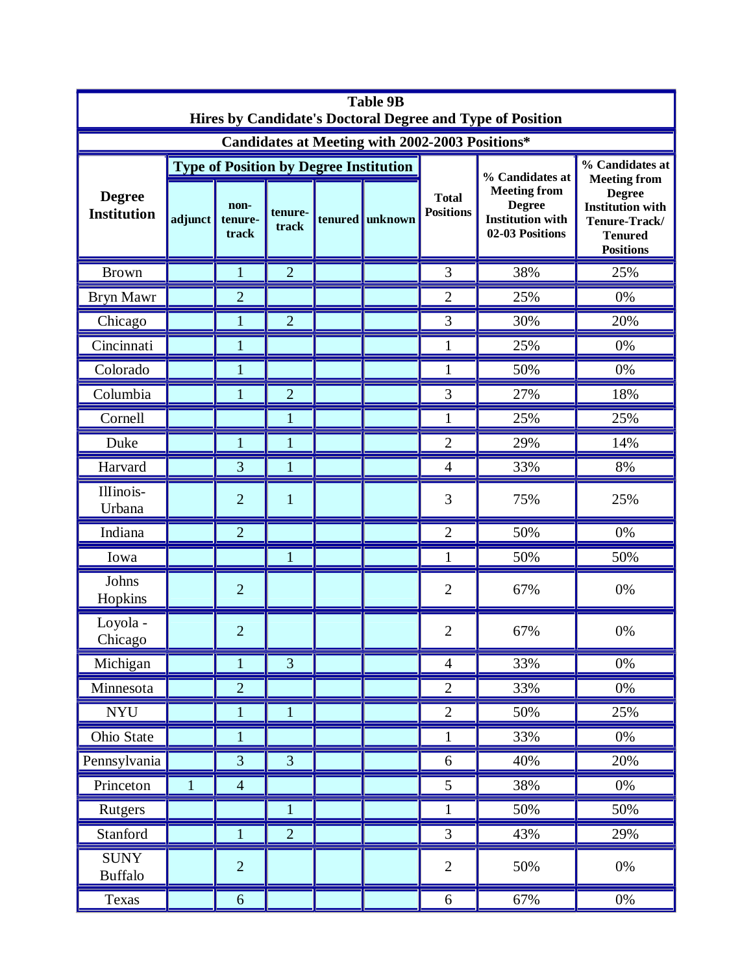| <b>Table 9B</b><br>Hires by Candidate's Doctoral Degree and Type of Position |              |                          |                  |  |                                               |                                  |                                                                                                       |                                                                                                                                           |  |  |  |
|------------------------------------------------------------------------------|--------------|--------------------------|------------------|--|-----------------------------------------------|----------------------------------|-------------------------------------------------------------------------------------------------------|-------------------------------------------------------------------------------------------------------------------------------------------|--|--|--|
| Candidates at Meeting with 2002-2003 Positions*                              |              |                          |                  |  |                                               |                                  |                                                                                                       |                                                                                                                                           |  |  |  |
| <b>Degree</b><br><b>Institution</b>                                          |              |                          |                  |  | <b>Type of Position by Degree Institution</b> | <b>Total</b><br><b>Positions</b> | % Candidates at<br><b>Meeting from</b><br><b>Degree</b><br><b>Institution with</b><br>02-03 Positions | % Candidates at<br><b>Meeting from</b><br><b>Degree</b><br><b>Institution with</b><br>Tenure-Track/<br><b>Tenured</b><br><b>Positions</b> |  |  |  |
|                                                                              | adjunct      | non-<br>tenure-<br>track | tenure-<br>track |  | tenured unknown                               |                                  |                                                                                                       |                                                                                                                                           |  |  |  |
| <b>Brown</b>                                                                 |              | $\mathbf{1}$             | $\overline{2}$   |  |                                               | 3                                | 38%                                                                                                   | 25%                                                                                                                                       |  |  |  |
| Bryn Mawr                                                                    |              | $\overline{2}$           |                  |  |                                               | $\overline{2}$                   | 25%                                                                                                   | 0%                                                                                                                                        |  |  |  |
| Chicago                                                                      |              | $\mathbf{1}$             | $\overline{2}$   |  |                                               | 3                                | 30%                                                                                                   | 20%                                                                                                                                       |  |  |  |
| Cincinnati                                                                   |              | $\mathbf{1}$             |                  |  |                                               | $\mathbf{1}$                     | 25%                                                                                                   | 0%                                                                                                                                        |  |  |  |
| Colorado                                                                     |              | $\mathbf{1}$             |                  |  |                                               | $\mathbf{1}$                     | 50%                                                                                                   | 0%                                                                                                                                        |  |  |  |
| Columbia                                                                     |              | $\mathbf{1}$             | $\overline{2}$   |  |                                               | 3                                | 27%                                                                                                   | 18%                                                                                                                                       |  |  |  |
| Cornell                                                                      |              |                          | 1                |  |                                               | 1                                | 25%                                                                                                   | 25%                                                                                                                                       |  |  |  |
| Duke                                                                         |              | $\mathbf{1}$             | $\mathbf{1}$     |  |                                               | $\overline{2}$                   | 29%                                                                                                   | 14%                                                                                                                                       |  |  |  |
| Harvard                                                                      |              | 3                        | 1                |  |                                               | $\overline{4}$                   | 33%                                                                                                   | 8%                                                                                                                                        |  |  |  |
| Illinois-<br>Urbana                                                          |              | $\overline{2}$           | $\mathbf{1}$     |  |                                               | 3                                | 75%                                                                                                   | 25%                                                                                                                                       |  |  |  |
| Indiana                                                                      |              | $\overline{2}$           |                  |  |                                               | $\overline{2}$                   | 50%                                                                                                   | 0%                                                                                                                                        |  |  |  |
| Iowa                                                                         |              |                          | $\mathbf{1}$     |  |                                               | $\mathbf{1}$                     | 50%                                                                                                   | 50%                                                                                                                                       |  |  |  |
| Johns<br>Hopkins                                                             |              | $\overline{2}$           |                  |  |                                               | $\overline{2}$                   | 67%                                                                                                   | 0%                                                                                                                                        |  |  |  |
| Loyola -<br>Chicago                                                          |              | $\overline{2}$           |                  |  |                                               | $\overline{2}$                   | 67%                                                                                                   | 0%                                                                                                                                        |  |  |  |
| Michigan                                                                     |              | $\mathbf{1}$             | $\overline{3}$   |  |                                               | $\overline{4}$                   | 33%                                                                                                   | $0\%$                                                                                                                                     |  |  |  |
| Minnesota                                                                    |              | $\overline{2}$           |                  |  |                                               | $\overline{2}$                   | 33%                                                                                                   | $0\%$                                                                                                                                     |  |  |  |
| $\bold{NYU}$                                                                 |              | $\mathbf{1}$             | $\mathbf{1}$     |  |                                               | $\overline{2}$                   | 50%                                                                                                   | 25%                                                                                                                                       |  |  |  |
| Ohio State                                                                   |              | $\mathbf{1}$             |                  |  |                                               | $\mathbf{1}$                     | 33%                                                                                                   | $0\%$                                                                                                                                     |  |  |  |
| Pennsylvania                                                                 |              | $\overline{3}$           | $\overline{3}$   |  |                                               | 6                                | 40%                                                                                                   | 20%                                                                                                                                       |  |  |  |
| Princeton                                                                    | $\mathbf{1}$ | $\overline{4}$           |                  |  |                                               | 5                                | 38%                                                                                                   | $0\%$                                                                                                                                     |  |  |  |
| Rutgers                                                                      |              |                          | $\mathbf{1}$     |  |                                               | $\mathbf{1}$                     | 50%                                                                                                   | 50%                                                                                                                                       |  |  |  |
| Stanford                                                                     |              | $\mathbf{1}$             | $\overline{2}$   |  |                                               | 3                                | 43%                                                                                                   | 29%                                                                                                                                       |  |  |  |
| <b>SUNY</b><br><b>Buffalo</b>                                                |              | $\overline{2}$           |                  |  |                                               | $\overline{2}$                   | 50%                                                                                                   | $0\%$                                                                                                                                     |  |  |  |
| Texas                                                                        |              | $\sqrt{6}$               |                  |  |                                               | 6                                | 67%                                                                                                   | $0\%$                                                                                                                                     |  |  |  |